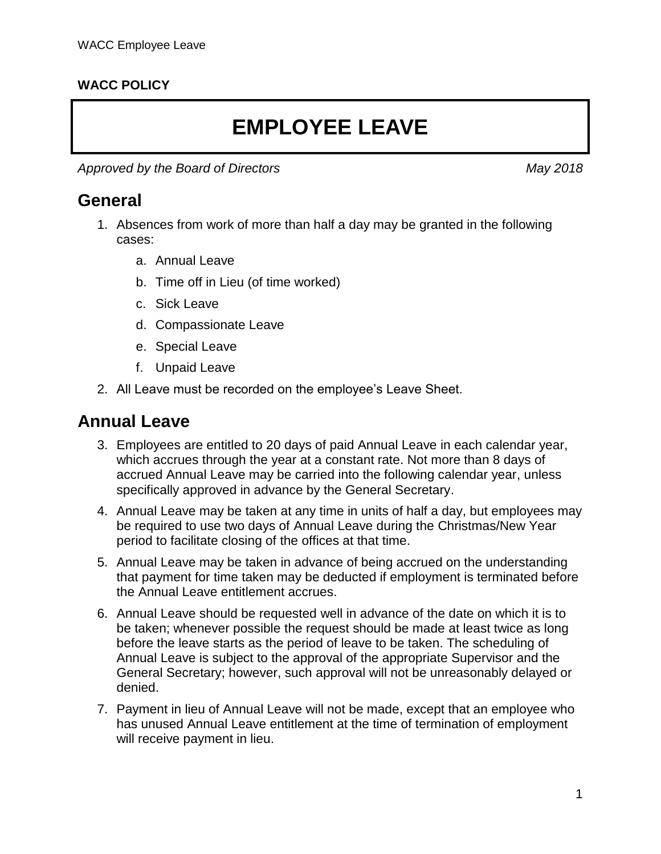#### **WACC POLICY**

# **EMPLOYEE LEAVE**

Approved by the Board of Directors May 2018

### **General**

- 1. Absences from work of more than half a day may be granted in the following cases:
	- a. Annual Leave
	- b. Time off in Lieu (of time worked)
	- c. Sick Leave
	- d. Compassionate Leave
	- e. Special Leave
	- f. Unpaid Leave
- 2. All Leave must be recorded on the employee's Leave Sheet.

### **Annual Leave**

- 3. Employees are entitled to 20 days of paid Annual Leave in each calendar year, which accrues through the year at a constant rate. Not more than 8 days of accrued Annual Leave may be carried into the following calendar year, unless specifically approved in advance by the General Secretary.
- 4. Annual Leave may be taken at any time in units of half a day, but employees may be required to use two days of Annual Leave during the Christmas/New Year period to facilitate closing of the offices at that time.
- 5. Annual Leave may be taken in advance of being accrued on the understanding that payment for time taken may be deducted if employment is terminated before the Annual Leave entitlement accrues.
- 6. Annual Leave should be requested well in advance of the date on which it is to be taken; whenever possible the request should be made at least twice as long before the leave starts as the period of leave to be taken. The scheduling of Annual Leave is subject to the approval of the appropriate Supervisor and the General Secretary; however, such approval will not be unreasonably delayed or denied.
- 7. Payment in lieu of Annual Leave will not be made, except that an employee who has unused Annual Leave entitlement at the time of termination of employment will receive payment in lieu.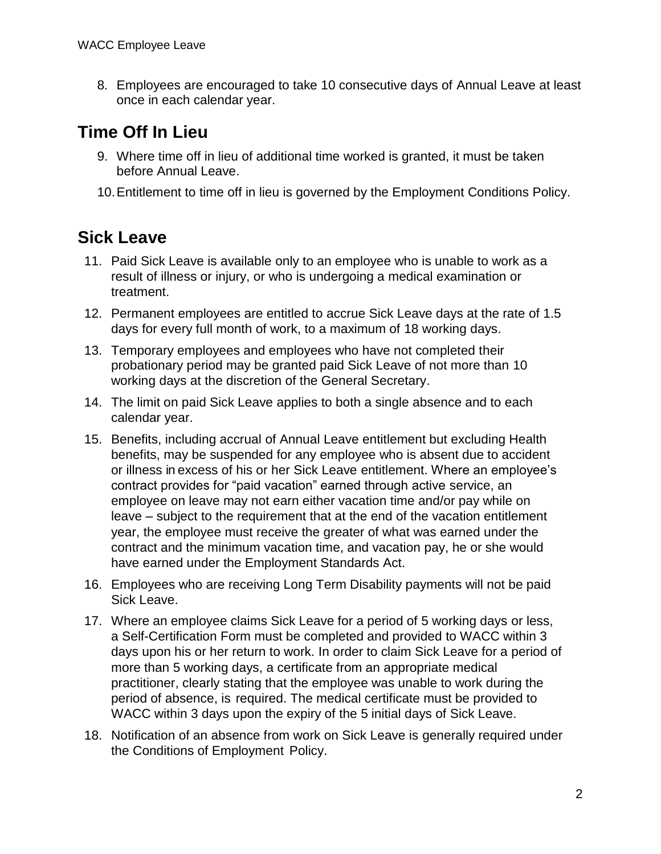8. Employees are encouraged to take 10 consecutive days of Annual Leave at least once in each calendar year.

# **Time Off In Lieu**

- 9. Where time off in lieu of additional time worked is granted, it must be taken before Annual Leave.
- 10.Entitlement to time off in lieu is governed by the Employment Conditions Policy.

# **Sick Leave**

- 11. Paid Sick Leave is available only to an employee who is unable to work as a result of illness or injury, or who is undergoing a medical examination or treatment.
- 12. Permanent employees are entitled to accrue Sick Leave days at the rate of 1.5 days for every full month of work, to a maximum of 18 working days.
- 13. Temporary employees and employees who have not completed their probationary period may be granted paid Sick Leave of not more than 10 working days at the discretion of the General Secretary.
- 14. The limit on paid Sick Leave applies to both a single absence and to each calendar year.
- 15. Benefits, including accrual of Annual Leave entitlement but excluding Health benefits, may be suspended for any employee who is absent due to accident or illness in excess of his or her Sick Leave entitlement. Where an employee's contract provides for "paid vacation" earned through active service, an employee on leave may not earn either vacation time and/or pay while on leave – subject to the requirement that at the end of the vacation entitlement year, the employee must receive the greater of what was earned under the contract and the minimum vacation time, and vacation pay, he or she would have earned under the Employment Standards Act.
- 16. Employees who are receiving Long Term Disability payments will not be paid Sick Leave.
- 17. Where an employee claims Sick Leave for a period of 5 working days or less, a Self-Certification Form must be completed and provided to WACC within 3 days upon his or her return to work. In order to claim Sick Leave for a period of more than 5 working days, a certificate from an appropriate medical practitioner, clearly stating that the employee was unable to work during the period of absence, is required. The medical certificate must be provided to WACC within 3 days upon the expiry of the 5 initial days of Sick Leave.
- 18. Notification of an absence from work on Sick Leave is generally required under the Conditions of Employment Policy.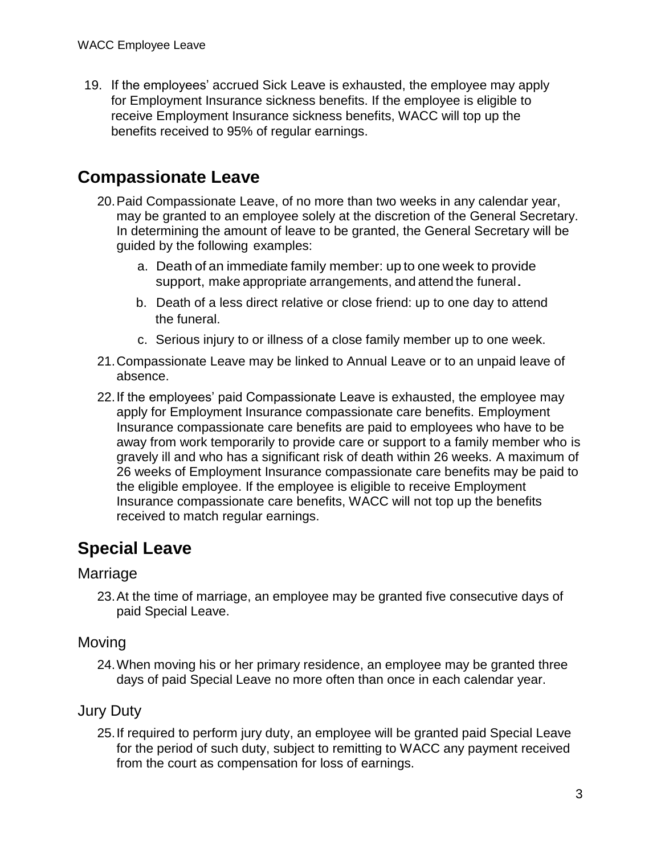19. If the employees' accrued Sick Leave is exhausted, the employee may apply for Employment Insurance sickness benefits. If the employee is eligible to receive Employment Insurance sickness benefits, WACC will top up the benefits received to 95% of regular earnings.

## **Compassionate Leave**

- 20.Paid Compassionate Leave, of no more than two weeks in any calendar year, may be granted to an employee solely at the discretion of the General Secretary. In determining the amount of leave to be granted, the General Secretary will be guided by the following examples:
	- a. Death of an immediate family member: up to one week to provide support, make appropriate arrangements, and attend the funeral.
	- b. Death of a less direct relative or close friend: up to one day to attend the funeral.
	- c. Serious injury to or illness of a close family member up to one week.
- 21.Compassionate Leave may be linked to Annual Leave or to an unpaid leave of absence.
- 22.If the employees' paid Compassionate Leave is exhausted, the employee may apply for Employment Insurance compassionate care benefits. Employment Insurance compassionate care benefits are paid to employees who have to be away from work temporarily to provide care or support to a family member who is gravely ill and who has a significant risk of death within 26 weeks. A maximum of 26 weeks of Employment Insurance compassionate care benefits may be paid to the eligible employee. If the employee is eligible to receive Employment Insurance compassionate care benefits, WACC will not top up the benefits received to match regular earnings.

# **Special Leave**

#### Marriage

23.At the time of marriage, an employee may be granted five consecutive days of paid Special Leave.

#### Moving

24.When moving his or her primary residence, an employee may be granted three days of paid Special Leave no more often than once in each calendar year.

#### Jury Duty

25.If required to perform jury duty, an employee will be granted paid Special Leave for the period of such duty, subject to remitting to WACC any payment received from the court as compensation for loss of earnings.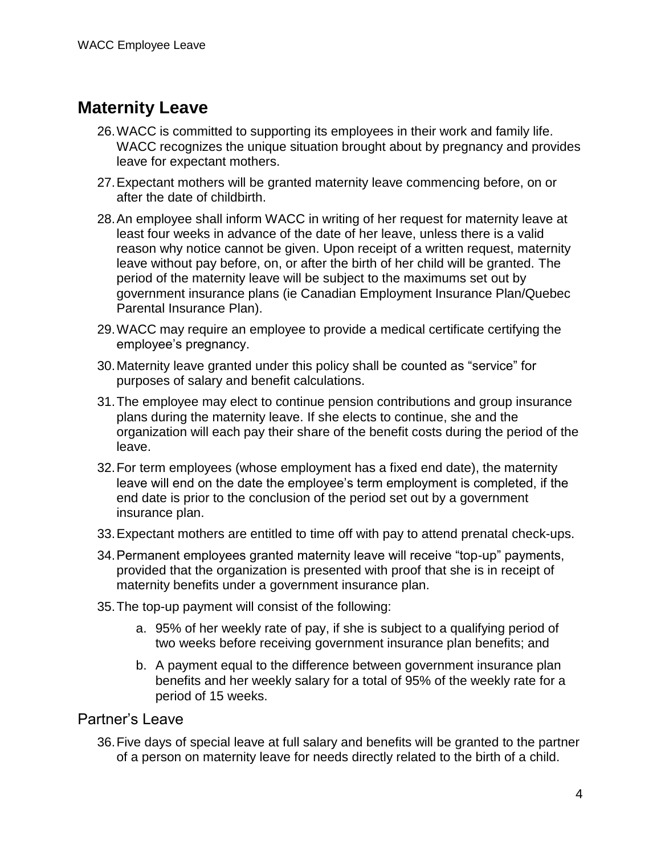### **Maternity Leave**

- 26.WACC is committed to supporting its employees in their work and family life. WACC recognizes the unique situation brought about by pregnancy and provides leave for expectant mothers.
- 27.Expectant mothers will be granted maternity leave commencing before, on or after the date of childbirth.
- 28.An employee shall inform WACC in writing of her request for maternity leave at least four weeks in advance of the date of her leave, unless there is a valid reason why notice cannot be given. Upon receipt of a written request, maternity leave without pay before, on, or after the birth of her child will be granted. The period of the maternity leave will be subject to the maximums set out by government insurance plans (ie Canadian Employment Insurance Plan/Quebec Parental Insurance Plan).
- 29.WACC may require an employee to provide a medical certificate certifying the employee's pregnancy.
- 30.Maternity leave granted under this policy shall be counted as "service" for purposes of salary and benefit calculations.
- 31.The employee may elect to continue pension contributions and group insurance plans during the maternity leave. If she elects to continue, she and the organization will each pay their share of the benefit costs during the period of the leave.
- 32.For term employees (whose employment has a fixed end date), the maternity leave will end on the date the employee's term employment is completed, if the end date is prior to the conclusion of the period set out by a government insurance plan.
- 33.Expectant mothers are entitled to time off with pay to attend prenatal check-ups.
- 34.Permanent employees granted maternity leave will receive "top-up" payments, provided that the organization is presented with proof that she is in receipt of maternity benefits under a government insurance plan.
- 35.The top-up payment will consist of the following:
	- a. 95% of her weekly rate of pay, if she is subject to a qualifying period of two weeks before receiving government insurance plan benefits; and
	- b. A payment equal to the difference between government insurance plan benefits and her weekly salary for a total of 95% of the weekly rate for a period of 15 weeks.

#### Partner's Leave

36.Five days of special leave at full salary and benefits will be granted to the partner of a person on maternity leave for needs directly related to the birth of a child.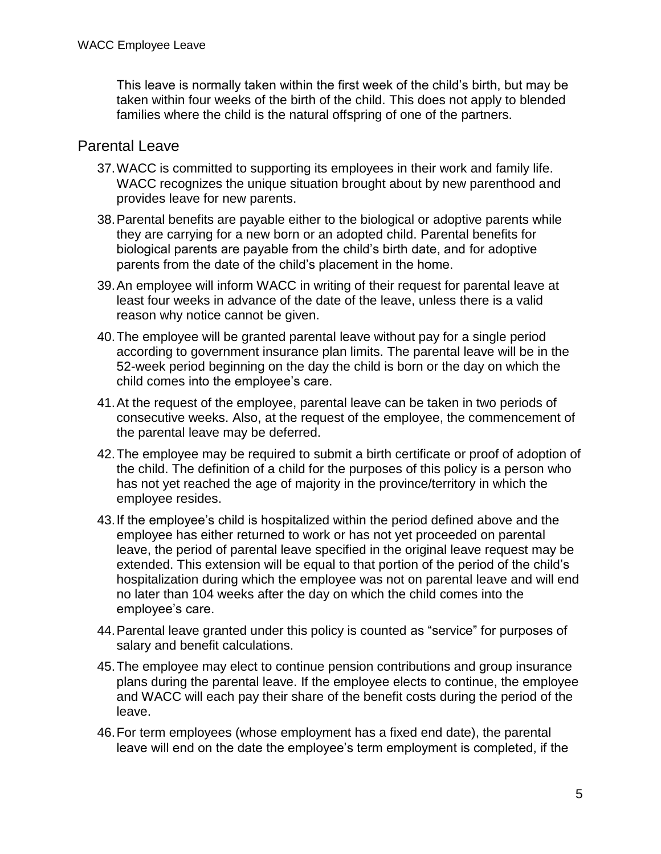This leave is normally taken within the first week of the child's birth, but may be taken within four weeks of the birth of the child. This does not apply to blended families where the child is the natural offspring of one of the partners.

#### Parental Leave

- 37.WACC is committed to supporting its employees in their work and family life. WACC recognizes the unique situation brought about by new parenthood and provides leave for new parents.
- 38.Parental benefits are payable either to the biological or adoptive parents while they are carrying for a new born or an adopted child. Parental benefits for biological parents are payable from the child's birth date, and for adoptive parents from the date of the child's placement in the home.
- 39.An employee will inform WACC in writing of their request for parental leave at least four weeks in advance of the date of the leave, unless there is a valid reason why notice cannot be given.
- 40.The employee will be granted parental leave without pay for a single period according to government insurance plan limits. The parental leave will be in the 52-week period beginning on the day the child is born or the day on which the child comes into the employee's care.
- 41.At the request of the employee, parental leave can be taken in two periods of consecutive weeks. Also, at the request of the employee, the commencement of the parental leave may be deferred.
- 42.The employee may be required to submit a birth certificate or proof of adoption of the child. The definition of a child for the purposes of this policy is a person who has not yet reached the age of majority in the province/territory in which the employee resides.
- 43.If the employee's child is hospitalized within the period defined above and the employee has either returned to work or has not yet proceeded on parental leave, the period of parental leave specified in the original leave request may be extended. This extension will be equal to that portion of the period of the child's hospitalization during which the employee was not on parental leave and will end no later than 104 weeks after the day on which the child comes into the employee's care.
- 44.Parental leave granted under this policy is counted as "service" for purposes of salary and benefit calculations.
- 45.The employee may elect to continue pension contributions and group insurance plans during the parental leave. If the employee elects to continue, the employee and WACC will each pay their share of the benefit costs during the period of the leave.
- 46.For term employees (whose employment has a fixed end date), the parental leave will end on the date the employee's term employment is completed, if the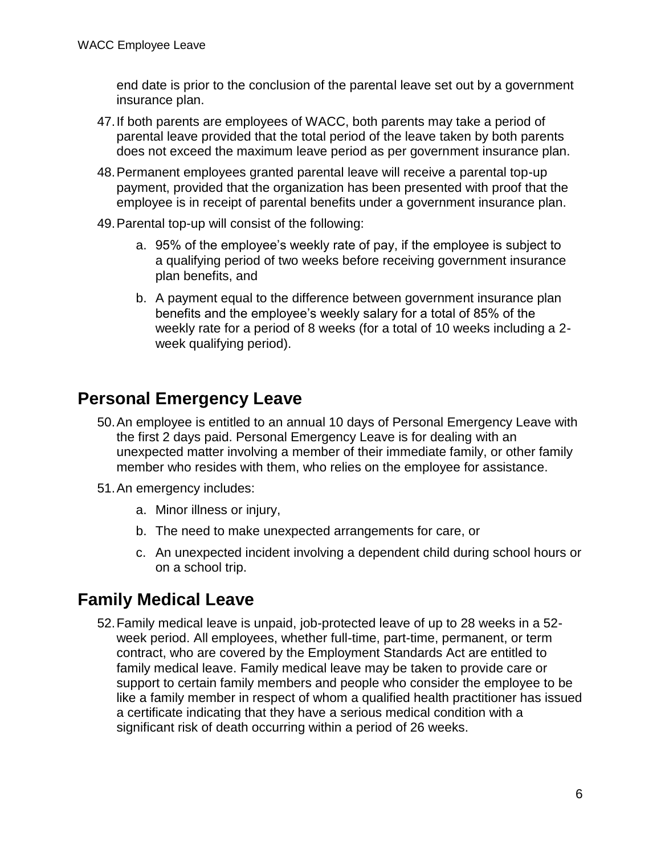end date is prior to the conclusion of the parental leave set out by a government insurance plan.

- 47.If both parents are employees of WACC, both parents may take a period of parental leave provided that the total period of the leave taken by both parents does not exceed the maximum leave period as per government insurance plan.
- 48.Permanent employees granted parental leave will receive a parental top-up payment, provided that the organization has been presented with proof that the employee is in receipt of parental benefits under a government insurance plan.
- 49.Parental top-up will consist of the following:
	- a. 95% of the employee's weekly rate of pay, if the employee is subject to a qualifying period of two weeks before receiving government insurance plan benefits, and
	- b. A payment equal to the difference between government insurance plan benefits and the employee's weekly salary for a total of 85% of the weekly rate for a period of 8 weeks (for a total of 10 weeks including a 2 week qualifying period).

### **Personal Emergency Leave**

- 50.An employee is entitled to an annual 10 days of Personal Emergency Leave with the first 2 days paid. Personal Emergency Leave is for dealing with an unexpected matter involving a member of their immediate family, or other family member who resides with them, who relies on the employee for assistance.
- 51.An emergency includes:
	- a. Minor illness or injury,
	- b. The need to make unexpected arrangements for care, or
	- c. An unexpected incident involving a dependent child during school hours or on a school trip.

### **Family Medical Leave**

52.Family medical leave is unpaid, job-protected leave of up to 28 weeks in a 52 week period. All employees, whether full-time, part-time, permanent, or term contract, who are covered by the Employment Standards Act are entitled to family medical leave. Family medical leave may be taken to provide care or support to certain family members and people who consider the employee to be like a family member in respect of whom a qualified health practitioner has issued a certificate indicating that they have a serious medical condition with a significant risk of death occurring within a period of 26 weeks.